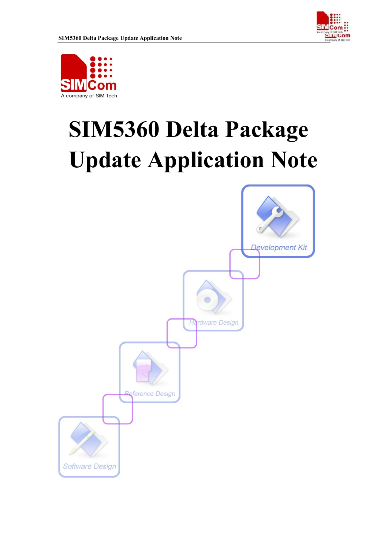



# **SIM5360 Delta Package Update Application Note**

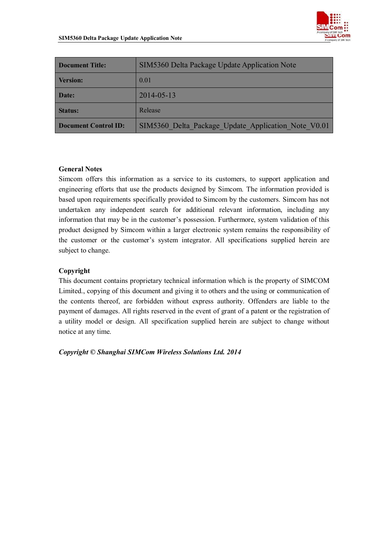

| <b>Document Title:</b>      | SIM5360 Delta Package Update Application Note       |
|-----------------------------|-----------------------------------------------------|
| <b>Version:</b>             | 0.01                                                |
| Date:                       | $2014 - 05 - 13$                                    |
| <b>Status:</b>              | Release                                             |
| <b>Document Control ID:</b> | SIM5360 Delta Package Update Application Note V0.01 |

#### **General Notes**

Simcom offers this information as a service to its customers, to support application and engineering efforts that use the products designed by Simcom. The information provided is based upon requirements specifically provided to Simcom by the customers. Simcom has not undertaken any independent search for additional relevant information, including any information that may be in the customer's possession. Furthermore, system validation of this product designed by Simcom within a larger electronic system remains the responsibility of the customer or the customer's system integrator. All specifications supplied herein are subject to change.

#### **Copyright**

This document contains proprietary technical information which is the property of SIMCOM Limited., copying of this document and giving it to others and the using or communication of the contents thereof, are forbidden without express authority. Offenders are liable to the payment of damages. All rights reserved in the event of grant of a patent or the registration of a utility model or design. All specification supplied herein are subject to change without notice at any time.

*Copyright © Shanghai SIMCom Wireless Solutions Ltd. 2014*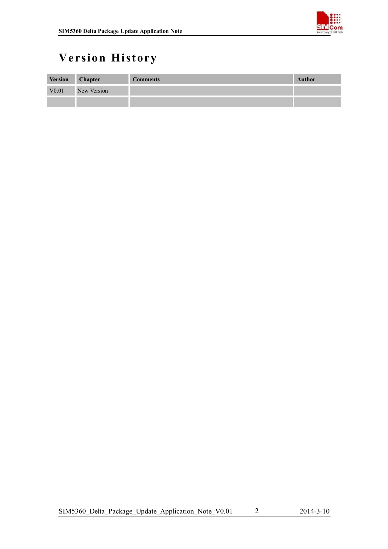

# **Version History**

| <b>Version</b>    | <b>Chapter</b> | <b>Comments</b> | Author |
|-------------------|----------------|-----------------|--------|
| V <sub>0.01</sub> | New Version    |                 |        |
|                   |                |                 |        |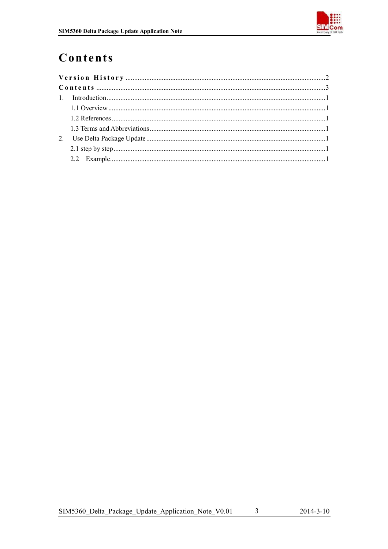

# Contents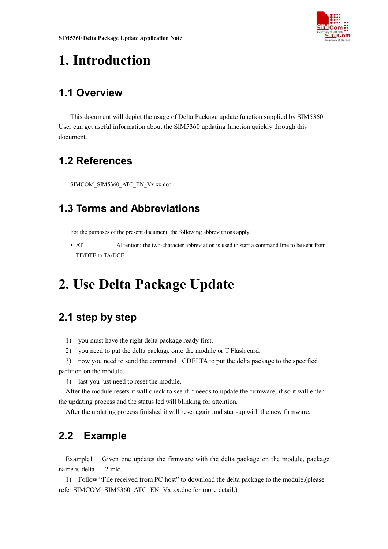

# **1. Introduction**

## **1.1 Overview**

This document will depict the usage of Delta Package update function supplied by SIM5360. User can get useful information about the SIM5360 updating function quickly through this document.

# **1.2 References**

SIMCOM\_SIM5360\_ATC\_EN\_Vx.xx.doc

## **1.3 Terms and Abbreviations**

For the purposes of the present document, the following abbreviations apply:

 AT ATtention; the two-character abbreviation is used to start a command line to be sent from TE/DTE to TA/DCE

# **2. Use Delta Package Update**

# **2.1 step by step**

- 1) you must have the right delta package ready first.
- 2) you need to put the delta package onto the module or T Flash card.
- 3) now you need to send the command +CDELTA to put the delta package to the specified partition on the module.
	- 4) last you just need to reset the module.

After the module resets it will check to see if it needs to update the firmware, if so it will enter the updating process and the status led will blinking for attention.

After the updating process finished it will reset again and start-up with the new firmware.

# **2.2 Example**

Example1: Given one updates the firmware with the delta package on the module, package name is delta\_1\_2.mld.

1) Follow "File received from PC host" to download the delta package to the module.(please refer SIMCOM\_SIM5360\_ATC\_EN\_Vx.xx.doc for more detail.)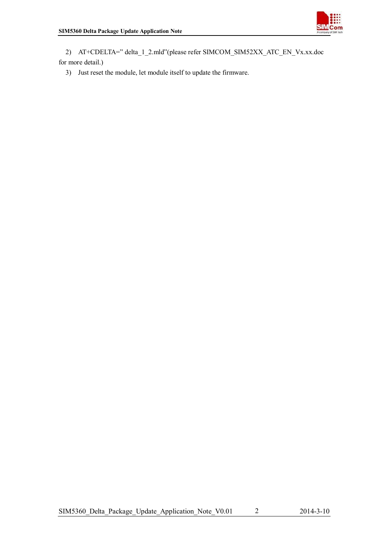

2) AT+CDELTA=" delta\_1\_2.mld"(please refer SIMCOM\_SIM52XX\_ATC\_EN\_Vx.xx.doc for more detail.)

3) Just reset the module, let module itself to update the firmware.